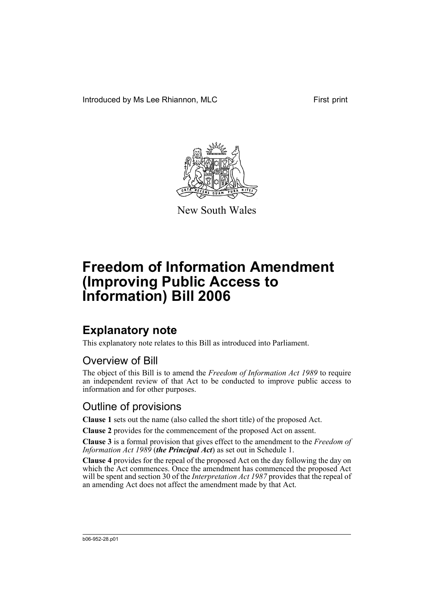Introduced by Ms Lee Rhiannon, MLC First print



New South Wales

# **Freedom of Information Amendment (Improving Public Access to Information) Bill 2006**

## **Explanatory note**

This explanatory note relates to this Bill as introduced into Parliament.

## Overview of Bill

The object of this Bill is to amend the *Freedom of Information Act 1989* to require an independent review of that Act to be conducted to improve public access to information and for other purposes.

## Outline of provisions

**Clause 1** sets out the name (also called the short title) of the proposed Act.

**Clause 2** provides for the commencement of the proposed Act on assent.

**Clause 3** is a formal provision that gives effect to the amendment to the *Freedom of Information Act 1989* (*the Principal Act*) as set out in Schedule 1.

**Clause 4** provides for the repeal of the proposed Act on the day following the day on which the Act commences. Once the amendment has commenced the proposed Act will be spent and section 30 of the *Interpretation Act 1987* provides that the repeal of an amending Act does not affect the amendment made by that Act.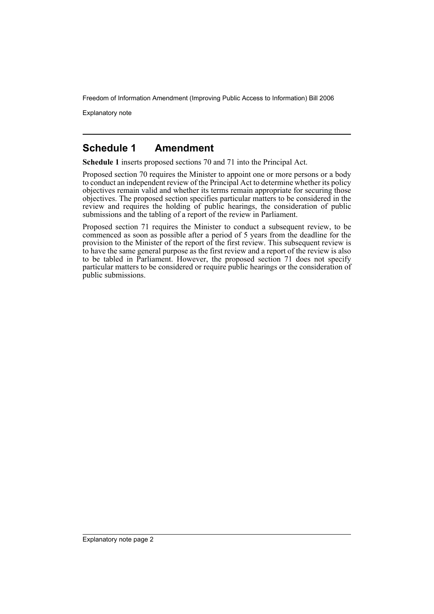Explanatory note

### **Schedule 1 Amendment**

**Schedule 1** inserts proposed sections 70 and 71 into the Principal Act.

Proposed section 70 requires the Minister to appoint one or more persons or a body to conduct an independent review of the Principal Act to determine whether its policy objectives remain valid and whether its terms remain appropriate for securing those objectives. The proposed section specifies particular matters to be considered in the review and requires the holding of public hearings, the consideration of public submissions and the tabling of a report of the review in Parliament.

Proposed section 71 requires the Minister to conduct a subsequent review, to be commenced as soon as possible after a period of 5 years from the deadline for the provision to the Minister of the report of the first review. This subsequent review is to have the same general purpose as the first review and a report of the review is also to be tabled in Parliament. However, the proposed section 71 does not specify particular matters to be considered or require public hearings or the consideration of public submissions.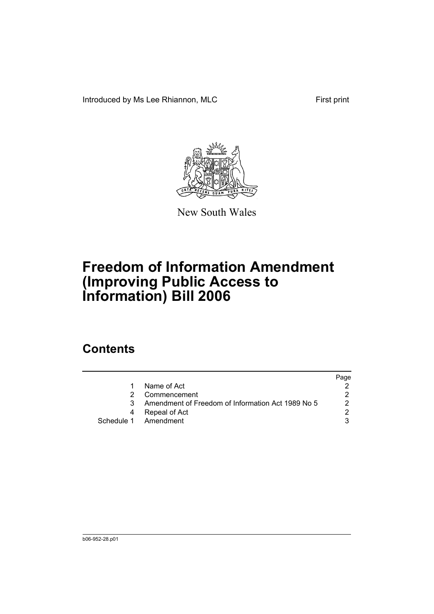Introduced by Ms Lee Rhiannon, MLC First print



New South Wales

# **Freedom of Information Amendment (Improving Public Access to Information) Bill 2006**

## **Contents**

|   |                                                   | Page |
|---|---------------------------------------------------|------|
|   | Name of Act                                       |      |
|   | Commencement                                      |      |
| 3 | Amendment of Freedom of Information Act 1989 No 5 |      |
|   | Repeal of Act                                     |      |
|   | Schedule 1 Amendment                              |      |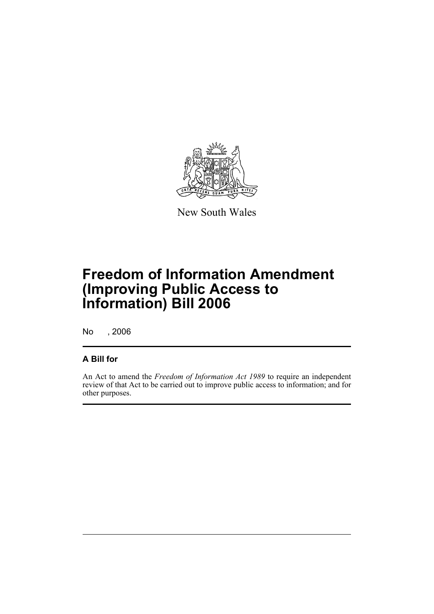

New South Wales

# **Freedom of Information Amendment (Improving Public Access to Information) Bill 2006**

No , 2006

#### **A Bill for**

An Act to amend the *Freedom of Information Act 1989* to require an independent review of that Act to be carried out to improve public access to information; and for other purposes.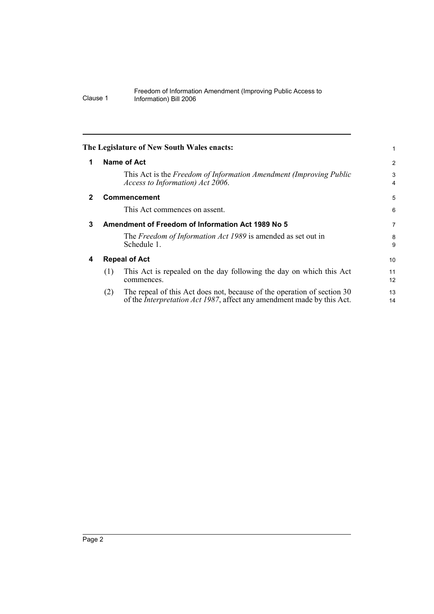<span id="page-5-3"></span><span id="page-5-2"></span><span id="page-5-1"></span><span id="page-5-0"></span>

|              | The Legislature of New South Wales enacts:                                                                                                                       |                     |
|--------------|------------------------------------------------------------------------------------------------------------------------------------------------------------------|---------------------|
| 1            | Name of Act                                                                                                                                                      | $\overline{2}$      |
|              | This Act is the Freedom of Information Amendment (Improving Public<br>Access to Information) Act 2006.                                                           | 3<br>$\overline{4}$ |
| $\mathbf{2}$ | Commencement                                                                                                                                                     | 5                   |
|              | This Act commences on assent.                                                                                                                                    | 6                   |
| 3            | Amendment of Freedom of Information Act 1989 No 5                                                                                                                | $\overline{7}$      |
|              | The Freedom of Information Act 1989 is amended as set out in<br>Schedule 1.                                                                                      | 8<br>9              |
| 4            | <b>Repeal of Act</b>                                                                                                                                             | 10                  |
|              | This Act is repealed on the day following the day on which this Act<br>(1)<br>commences.                                                                         | 11<br>12            |
|              | The repeal of this Act does not, because of the operation of section 30<br>(2)<br>of the <i>Interpretation Act 1987</i> , affect any amendment made by this Act. | 13<br>14            |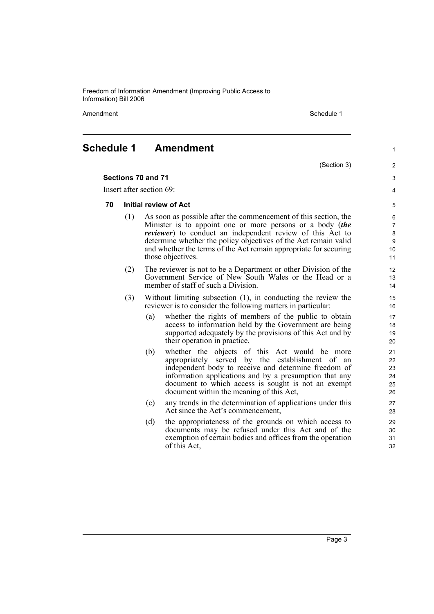Amendment **Amendment** Schedule 1

(Section 3)

1

 $\overline{2}$ 3 4

#### <span id="page-6-0"></span>**Schedule 1 Amendment**

#### **Sections 70 and 71**

Insert after section 69:

#### **70 Initial review of Act**

- (1) As soon as possible after the commencement of this section, the Minister is to appoint one or more persons or a body (*the reviewer*) to conduct an independent review of this Act to determine whether the policy objectives of the Act remain valid and whether the terms of the Act remain appropriate for securing those objectives.
- (2) The reviewer is not to be a Department or other Division of the Government Service of New South Wales or the Head or a member of staff of such a Division.
- (3) Without limiting subsection (1), in conducting the review the reviewer is to consider the following matters in particular:
	- (a) whether the rights of members of the public to obtain access to information held by the Government are being supported adequately by the provisions of this Act and by their operation in practice,
	- (b) whether the objects of this Act would be more appropriately served by the establishment of an independent body to receive and determine freedom of information applications and by a presumption that any document to which access is sought is not an exempt document within the meaning of this Act,
	- (c) any trends in the determination of applications under this Act since the Act's commencement,
	- (d) the appropriateness of the grounds on which access to documents may be refused under this Act and of the exemption of certain bodies and offices from the operation of this Act,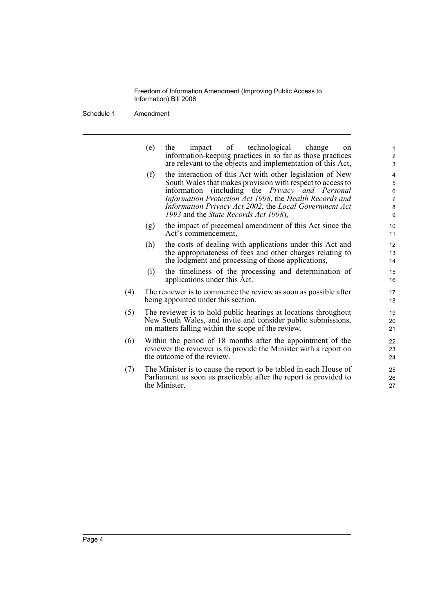Schedule 1 Amendment

| (e)                                                                                                                                                                                   | of technological<br>impact<br>change<br>the<br>on<br>information-keeping practices in so far as those practices<br>are relevant to the objects and implementation of this Act,                                                                                                                                                                         | $\mathbf{1}$<br>$\overline{\mathbf{c}}$<br>3 |
|---------------------------------------------------------------------------------------------------------------------------------------------------------------------------------------|--------------------------------------------------------------------------------------------------------------------------------------------------------------------------------------------------------------------------------------------------------------------------------------------------------------------------------------------------------|----------------------------------------------|
| (f)                                                                                                                                                                                   | the interaction of this Act with other legislation of New<br>South Wales that makes provision with respect to access to<br>information (including the <i>Privacy</i> and <i>Personal</i><br>Information Protection Act 1998, the Health Records and<br>Information Privacy Act 2002, the Local Government Act<br>1993 and the State Records Act 1998), | 4<br>5<br>6<br>7<br>8<br>$\boldsymbol{9}$    |
| (g)                                                                                                                                                                                   | the impact of piecemeal amendment of this Act since the<br>Act's commencement,                                                                                                                                                                                                                                                                         | 10<br>11                                     |
| (h)                                                                                                                                                                                   | the costs of dealing with applications under this Act and<br>the appropriateness of fees and other charges relating to<br>the lodgment and processing of those applications,                                                                                                                                                                           | 12<br>13<br>14                               |
| (i)                                                                                                                                                                                   | the timeliness of the processing and determination of<br>applications under this Act.                                                                                                                                                                                                                                                                  | 15<br>16                                     |
| The reviewer is to commence the review as soon as possible after<br>being appointed under this section.                                                                               |                                                                                                                                                                                                                                                                                                                                                        | 17<br>18                                     |
| The reviewer is to hold public hearings at locations throughout<br>New South Wales, and invite and consider public submissions,<br>on matters falling within the scope of the review. |                                                                                                                                                                                                                                                                                                                                                        | 19<br>20<br>21                               |
| Within the period of 18 months after the appointment of the<br>reviewer the reviewer is to provide the Minister with a report on<br>the outcome of the review.                        |                                                                                                                                                                                                                                                                                                                                                        | 22<br>23<br>24                               |
| The Minister is to cause the report to be tabled in each House of<br>Parliament as soon as practicable after the report is provided to<br>the Minister.                               |                                                                                                                                                                                                                                                                                                                                                        | 25<br>26<br>27                               |
|                                                                                                                                                                                       |                                                                                                                                                                                                                                                                                                                                                        |                                              |